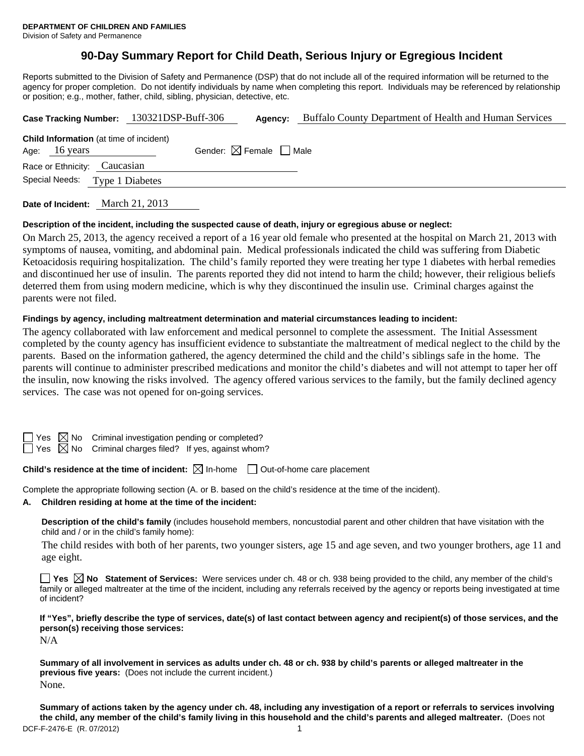# **90-Day Summary Report for Child Death, Serious Injury or Egregious Incident**

Reports submitted to the Division of Safety and Permanence (DSP) that do not include all of the required information will be returned to the agency for proper completion. Do not identify individuals by name when completing this report. Individuals may be referenced by relationship or position; e.g., mother, father, child, sibling, physician, detective, etc.

| Case Tracking Number: 130321DSP-Buff-306                        |  | Agency:                                | Buffalo County Department of Health and Human Services |  |  |  |
|-----------------------------------------------------------------|--|----------------------------------------|--------------------------------------------------------|--|--|--|
| <b>Child Information</b> (at time of incident)<br>Age: 16 years |  | Gender: $\boxtimes$ Female $\Box$ Male |                                                        |  |  |  |
| Race or Ethnicity: Caucasian                                    |  |                                        |                                                        |  |  |  |
| Special Needs: Type 1 Diabetes                                  |  |                                        |                                                        |  |  |  |
|                                                                 |  |                                        |                                                        |  |  |  |

**Date of Incident:** March 21, 2013

#### **Description of the incident, including the suspected cause of death, injury or egregious abuse or neglect:**

On March 25, 2013, the agency received a report of a 16 year old female who presented at the hospital on March 21, 2013 with symptoms of nausea, vomiting, and abdominal pain. Medical professionals indicated the child was suffering from Diabetic Ketoacidosis requiring hospitalization. The child's family reported they were treating her type 1 diabetes with herbal remedies and discontinued her use of insulin. The parents reported they did not intend to harm the child; however, their religious beliefs deterred them from using modern medicine, which is why they discontinued the insulin use. Criminal charges against the parents were not filed.

#### **Findings by agency, including maltreatment determination and material circumstances leading to incident:**

The agency collaborated with law enforcement and medical personnel to complete the assessment. The Initial Assessment completed by the county agency has insufficient evidence to substantiate the maltreatment of medical neglect to the child by the parents. Based on the information gathered, the agency determined the child and the child's siblings safe in the home. The parents will continue to administer prescribed medications and monitor the child's diabetes and will not attempt to taper her off the insulin, now knowing the risks involved. The agency offered various services to the family, but the family declined agency services. The case was not opened for on-going services.

es  $\boxtimes$  No Criminal investigation pending or completed?

 $\Box$  Yes  $\boxtimes$  No Criminal charges filed? If yes, against whom?

#### **Child's residence at the time of incident:**  $\boxtimes$  In-home  $\Box$  Out-of-home care placement

Complete the appropriate following section (A. or B. based on the child's residence at the time of the incident).

#### **A. Children residing at home at the time of the incident:**

**Description of the child's family** (includes household members, noncustodial parent and other children that have visitation with the child and / or in the child's family home):

 The child resides with both of her parents, two younger sisters, age 15 and age seven, and two younger brothers, age 11 and age eight.

**Yes No Statement of Services:** Were services under ch. 48 or ch. 938 being provided to the child, any member of the child's family or alleged maltreater at the time of the incident, including any referrals received by the agency or reports being investigated at time of incident?

**If "Yes", briefly describe the type of services, date(s) of last contact between agency and recipient(s) of those services, and the person(s) receiving those services:**  N/A

**Summary of all involvement in services as adults under ch. 48 or ch. 938 by child's parents or alleged maltreater in the previous five years:** (Does not include the current incident.) None.

DCF-F-2476-E (R. 07/2012) 1 **Summary of actions taken by the agency under ch. 48, including any investigation of a report or referrals to services involving the child, any member of the child's family living in this household and the child's parents and alleged maltreater.** (Does not